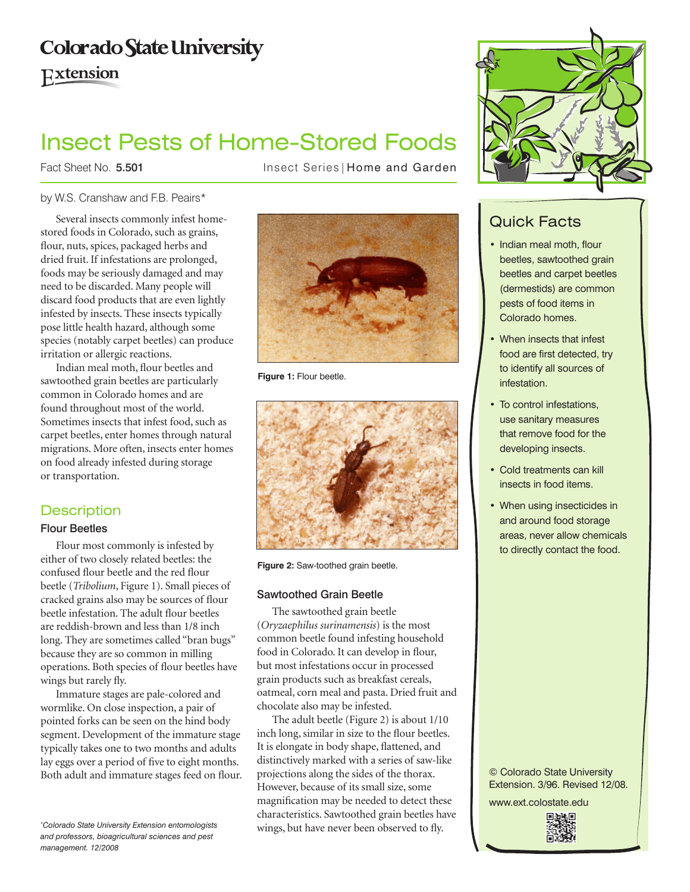# **Colorado State University**

Extension

# Insect Pests of Home-Stored Foods

Fact Sheet No. 5.501

Insect Series | Home and Garden

# by W.S. Cranshaw and F.B. Peairs\*

Several insects commonly infest homestored foods in Colorado, such as grains, flour, nuts, spices, packaged herbs and dried fruit. If infestations are prolonged, foods may be seriously damaged and may need to be discarded. Many people will discard food products that are even lightly infested by insects. These insects typically pose little health hazard, although some species (notably carpet beetles) can produce irritation or allergic reactions.

Indian meal moth, flour beetles and sawtoothed grain beetles are particularly common in Colorado homes and are found throughout most of the world. Sometimes insects that infest food, such as carpet beetles, enter homes through natural migrations. More often, insects enter homes on food already infested during storage or transportation.

# **Description**

## Flour Beetles

Flour most commonly is infested by either of two closely related beetles: the confused flour beetle and the red flour beetle (*Tribolium*, Figure 1). Small pieces of cracked grains also may be sources of flour beetle infestation. The adult flour beetles are reddish-brown and less than 1/8 inch long. They are sometimes called "bran bugs" because they are so common in milling operations. Both species of flour beetles have wings but rarely fly.

Immature stages are pale-colored and wormlike. On close inspection, a pair of pointed forks can be seen on the hind body segment. Development of the immature stage typically takes one to two months and adults lay eggs over a period of five to eight months. Both adult and immature stages feed on flour.

*\* Colorado State University Extension entomologists and professors, bioagricultural sciences and pest management. 12/2008*



**Figure 1:** Flour beetle.



**Figure 2:** Saw-toothed grain beetle.

## Sawtoothed Grain Beetle

The sawtoothed grain beetle (*Oryzaephilus surinamensis*) is the most common beetle found infesting household food in Colorado. It can develop in flour, but most infestations occur in processed grain products such as breakfast cereals, oatmeal, corn meal and pasta. Dried fruit and chocolate also may be infested.

The adult beetle (Figure 2) is about 1/10 inch long, similar in size to the flour beetles. It is elongate in body shape, flattened, and distinctively marked with a series of saw-like projections along the sides of the thorax. However, because of its small size, some magnification may be needed to detect these characteristics. Sawtoothed grain beetles have wings, but have never been observed to fly.



# Quick Facts

- Indian meal moth, flour beetles, sawtoothed grain beetles and carpet beetles (dermestids) are common pests of food items in Colorado homes.
- When insects that infest food are first detected, try to identify all sources of infestation.
- To control infestations, use sanitary measures that remove food for the developing insects.
- Cold treatments can kill insects in food items.
- When using insecticides in and around food storage areas, never allow chemicals to directly contact the food.

#### © Colorado State University Extension. 3/96. Revised 12/08.

www.ext.colostate.edu

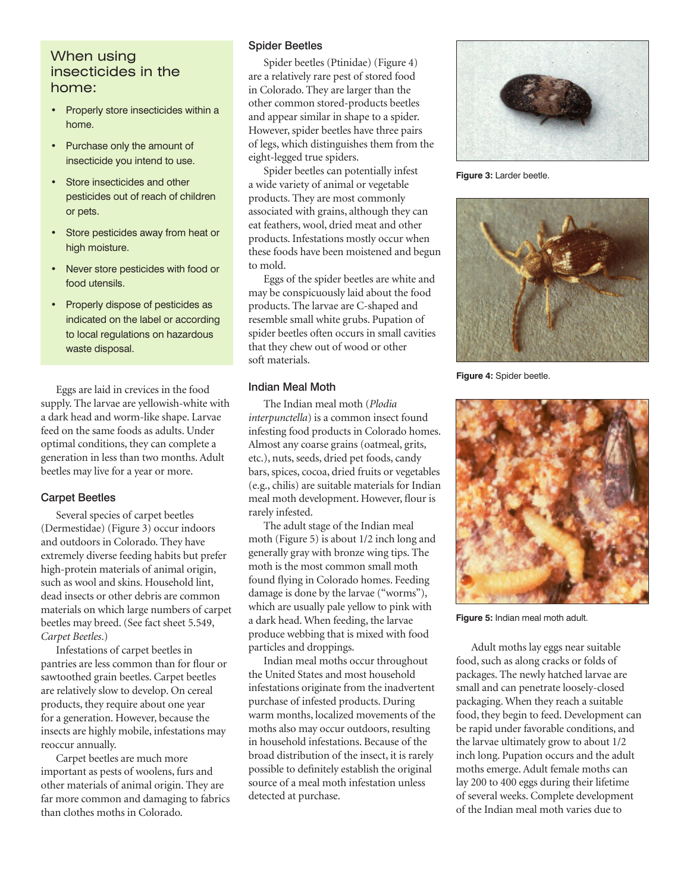# When using insecticides in the home:

- Properly store insecticides within a home.
- • Purchase only the amount of insecticide you intend to use.
- Store insecticides and other pesticides out of reach of children or pets.
- • Store pesticides away from heat or high moisture.
- • Never store pesticides with food or food utensils.
- Properly dispose of pesticides as indicated on the label or according to local regulations on hazardous waste disposal.

Eggs are laid in crevices in the food supply. The larvae are yellowish-white with a dark head and worm-like shape. Larvae feed on the same foods as adults. Under optimal conditions, they can complete a generation in less than two months. Adult beetles may live for a year or more.

#### Carpet Beetles

Several species of carpet beetles (Dermestidae) (Figure 3) occur indoors and outdoors in Colorado. They have extremely diverse feeding habits but prefer high-protein materials of animal origin, such as wool and skins. Household lint, dead insects or other debris are common materials on which large numbers of carpet beetles may breed. (See fact sheet 5.549, *Carpet Beetles*.)

Infestations of carpet beetles in pantries are less common than for flour or sawtoothed grain beetles. Carpet beetles are relatively slow to develop. On cereal products, they require about one year for a generation. However, because the insects are highly mobile, infestations may reoccur annually.

Carpet beetles are much more important as pests of woolens, furs and other materials of animal origin. They are far more common and damaging to fabrics than clothes moths in Colorado.

#### Spider Beetles

Spider beetles (Ptinidae) (Figure 4) are a relatively rare pest of stored food in Colorado. They are larger than the other common stored-products beetles and appear similar in shape to a spider. However, spider beetles have three pairs of legs, which distinguishes them from the eight-legged true spiders.

Spider beetles can potentially infest a wide variety of animal or vegetable products. They are most commonly associated with grains, although they can eat feathers, wool, dried meat and other products. Infestations mostly occur when these foods have been moistened and begun to mold.

Eggs of the spider beetles are white and may be conspicuously laid about the food products. The larvae are C-shaped and resemble small white grubs. Pupation of spider beetles often occurs in small cavities that they chew out of wood or other soft materials.

#### Indian Meal Moth

The Indian meal moth (*Plodia interpunctella*) is a common insect found infesting food products in Colorado homes. Almost any coarse grains (oatmeal, grits, etc.), nuts, seeds, dried pet foods, candy bars, spices, cocoa, dried fruits or vegetables (e.g., chilis) are suitable materials for Indian meal moth development. However, flour is rarely infested.

The adult stage of the Indian meal moth (Figure 5) is about 1/2 inch long and generally gray with bronze wing tips. The moth is the most common small moth found flying in Colorado homes. Feeding damage is done by the larvae ("worms"), which are usually pale yellow to pink with a dark head. When feeding, the larvae produce webbing that is mixed with food particles and droppings.

Indian meal moths occur throughout the United States and most household infestations originate from the inadvertent purchase of infested products. During warm months, localized movements of the moths also may occur outdoors, resulting in household infestations. Because of the broad distribution of the insect, it is rarely possible to definitely establish the original source of a meal moth infestation unless detected at purchase.



**Figure 3:** Larder beetle.



**Figure 4:** Spider beetle.



**Figure 5:** Indian meal moth adult.

Adult moths lay eggs near suitable food, such as along cracks or folds of packages. The newly hatched larvae are small and can penetrate loosely-closed packaging. When they reach a suitable food, they begin to feed. Development can be rapid under favorable conditions, and the larvae ultimately grow to about 1/2 inch long. Pupation occurs and the adult moths emerge. Adult female moths can lay 200 to 400 eggs during their lifetime of several weeks. Complete development of the Indian meal moth varies due to